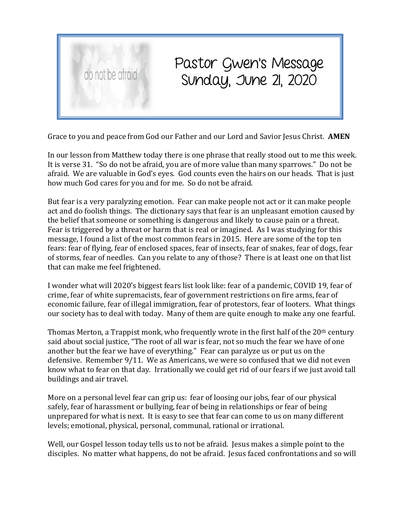

## Pastor Gwen's Message Sunday, June 21, 2020

Grace to you and peace from God our Father and our Lord and Savior Jesus Christ. **AMEN**

In our lesson from Matthew today there is one phrase that really stood out to me this week. It is verse 31. "So do not be afraid, you are of more value than many sparrows." Do not be afraid. We are valuable in God's eyes. God counts even the hairs on our heads. That is just how much God cares for you and for me. So do not be afraid.

But fear is a very paralyzing emotion. Fear can make people not act or it can make people act and do foolish things. The dictionary says that fear is an unpleasant emotion caused by the belief that someone or something is dangerous and likely to cause pain or a threat. Fear is triggered by a threat or harm that is real or imagined. As I was studying for this message, I found a list of the most common fears in 2015. Here are some of the top ten fears: fear of flying, fear of enclosed spaces, fear of insects, fear of snakes, fear of dogs, fear of storms, fear of needles. Can you relate to any of those? There is at least one on that list that can make me feel frightened.

I wonder what will 2020's biggest fears list look like: fear of a pandemic, COVID 19, fear of crime, fear of white supremacists, fear of government restrictions on fire arms, fear of economic failure, fear of illegal immigration, fear of protestors, fear of looters. What things our society has to deal with today. Many of them are quite enough to make any one fearful.

Thomas Merton, a Trappist monk, who frequently wrote in the first half of the  $20<sup>th</sup>$  century said about social justice, "The root of all war is fear, not so much the fear we have of one another but the fear we have of everything." Fear can paralyze us or put us on the defensive. Remember 9/11. We as Americans, we were so confused that we did not even know what to fear on that day. Irrationally we could get rid of our fears if we just avoid tall buildings and air travel.

More on a personal level fear can grip us: fear of loosing our jobs, fear of our physical safely, fear of harassment or bullying, fear of being in relationships or fear of being unprepared for what is next. It is easy to see that fear can come to us on many different levels; emotional, physical, personal, communal, rational or irrational.

Well, our Gospel lesson today tells us to not be afraid. Jesus makes a simple point to the disciples. No matter what happens, do not be afraid. Jesus faced confrontations and so will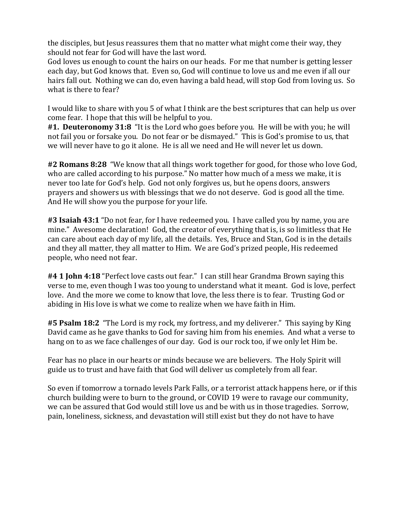the disciples, but Jesus reassures them that no matter what might come their way, they should not fear for God will have the last word.

God loves us enough to count the hairs on our heads. For me that number is getting lesser each day, but God knows that. Even so, God will continue to love us and me even if all our hairs fall out. Nothing we can do, even having a bald head, will stop God from loving us. So what is there to fear?

I would like to share with you 5 of what I think are the best scriptures that can help us over come fear. I hope that this will be helpful to you.

**#1. Deuteronomy 31:8** "It is the Lord who goes before you. He will be with you; he will not fail you or forsake you. Do not fear or be dismayed." This is God's promise to us, that we will never have to go it alone. He is all we need and He will never let us down.

**#2 Romans 8:28** "We know that all things work together for good, for those who love God, who are called according to his purpose." No matter how much of a mess we make, it is never too late for God's help. God not only forgives us, but he opens doors, answers prayers and showers us with blessings that we do not deserve. God is good all the time. And He will show you the purpose for your life.

**#3 Isaiah 43:1** "Do not fear, for I have redeemed you. I have called you by name, you are mine." Awesome declaration! God, the creator of everything that is, is so limitless that He can care about each day of my life, all the details. Yes, Bruce and Stan, God is in the details and they all matter, they all matter to Him. We are God's prized people, His redeemed people, who need not fear.

**#4 1 John 4:18** "Perfect love casts out fear." I can still hear Grandma Brown saying this verse to me, even though I was too young to understand what it meant. God is love, perfect love. And the more we come to know that love, the less there is to fear. Trusting God or abiding in His love is what we come to realize when we have faith in Him.

**#5 Psalm 18:2** "The Lord is my rock, my fortress, and my deliverer." This saying by King David came as he gave thanks to God for saving him from his enemies. And what a verse to hang on to as we face challenges of our day. God is our rock too, if we only let Him be.

Fear has no place in our hearts or minds because we are believers. The Holy Spirit will guide us to trust and have faith that God will deliver us completely from all fear.

So even if tomorrow a tornado levels Park Falls, or a terrorist attack happens here, or if this church building were to burn to the ground, or COVID 19 were to ravage our community, we can be assured that God would still love us and be with us in those tragedies. Sorrow, pain, loneliness, sickness, and devastation will still exist but they do not have to have